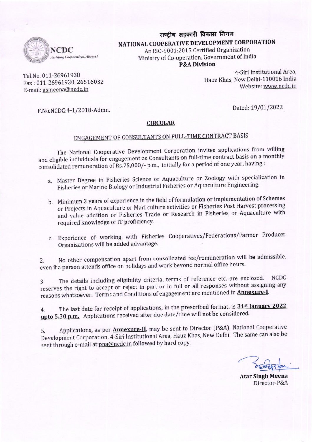

# राष्ट्रीय सहकारी विकास निगम NATIONAL COOPERATIVE DEVELOPMENT CORPORATION An ISO-9001:2015 Certified Organization

Ministry of Co-operation, Government of India **P&A Division** 

Tel.No. 011-26961930 Fax: 011-26961930, 26516032 E-mail: asmeena@ncdc.in

Hauz Khas, New Delhi-110016 India Website: www.ncdc.in

F.No.NCDC:4-1/2018-Admn.

Dated: 19/01/2022

4-Siri Institutional Area.

### **CIRCULAR**

# ENGAGEMENT OF CONSULTANTS ON FULL-TIME CONTRACT BASIS

The National Cooperative Development Corporation invites applications from willing and eligible individuals for engagement as Consultants on full-time contract basis on a monthly consolidated remuneration of Rs.75,000/- p.m., initially for a period of one year, having:

- a. Master Degree in Fisheries Science or Aquaculture or Zoology with specialization in Fisheries or Marine Biology or Industrial Fisheries or Aquaculture Engineering.
- b. Minimum 3 years of experience in the field of formulation or implementation of Schemes or Projects in Aquaculture or Mari culture activities or Fisheries Post Harvest processing and value addition or Fisheries Trade or Research in Fisheries or Aquaculture with required knowledge of IT proficiency.
- c. Experience of working with Fisheries Cooperatives/Federations/Farmer Producer Organizations will be added advantage.

No other compensation apart from consolidated fee/remuneration will be admissible,  $2.$ even if a person attends office on holidays and work beyond normal office hours.

The details including eligibility criteria, terms of reference etc. are enclosed. **NCDC** 3. reserves the right to accept or reject in part or in full or all responses without assigning any reasons whatsoever. Terms and Conditions of engagement are mentioned in **Annexure-I**.

The last date for receipt of applications, in the prescribed format, is 31<sup>st</sup> January 2022 4. upto 5.30 p.m. Applications received after due date/time will not be considered.

Applications, as per **Annexure-II**, may be sent to Director (P&A), National Cooperative 5. Development Corporation, 4-Siri Institutional Area, Hauz Khas, New Delhi. The same can also be sent through e-mail at pna@ncdc.in followed by hard copy.

**Atar Singh Meena** Director-P&A